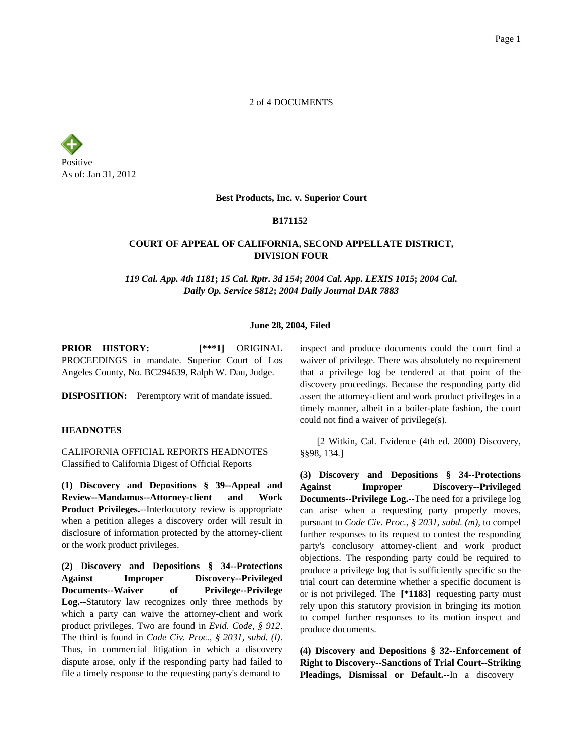2 of 4 DOCUMENTS



#### **Best Products, Inc. v. Superior Court**

### **B171152**

# **COURT OF APPEAL OF CALIFORNIA, SECOND APPELLATE DISTRICT, DIVISION FOUR**

*119 Cal. App. 4th 1181***;** *15 Cal. Rptr. 3d 154***;** *2004 Cal. App. LEXIS 1015***;** *2004 Cal. Daily Op. Service 5812***;** *2004 Daily Journal DAR 7883*

#### **June 28, 2004, Filed**

**PRIOR HISTORY: [\*\*\*1]** ORIGINAL PROCEEDINGS in mandate. Superior Court of Los Angeles County, No. BC294639, Ralph W. Dau, Judge.

**DISPOSITION:** Peremptory writ of mandate issued.

## **HEADNOTES**

CALIFORNIA OFFICIAL REPORTS HEADNOTES Classified to California Digest of Official Reports

**(1) Discovery and Depositions § 39--Appeal and Review--Mandamus--Attorney-client and Work Product Privileges.**--Interlocutory review is appropriate when a petition alleges a discovery order will result in disclosure of information protected by the attorney-client or the work product privileges.

**(2) Discovery and Depositions § 34--Protections Against Improper Discovery--Privileged Documents--Waiver of Privilege--Privilege Log.**--Statutory law recognizes only three methods by which a party can waive the attorney-client and work product privileges. Two are found in *Evid. Code, § 912*. The third is found in *Code Civ. Proc., § 2031, subd. (l)*. Thus, in commercial litigation in which a discovery dispute arose, only if the responding party had failed to file a timely response to the requesting party's demand to

inspect and produce documents could the court find a waiver of privilege. There was absolutely no requirement that a privilege log be tendered at that point of the discovery proceedings. Because the responding party did assert the attorney-client and work product privileges in a timely manner, albeit in a boiler-plate fashion, the court could not find a waiver of privilege(s).

[2 Witkin, Cal. Evidence (4th ed. 2000) Discovery, §§98, 134.]

**(3) Discovery and Depositions § 34--Protections Against Improper Discovery--Privileged Documents--Privilege Log.**--The need for a privilege log can arise when a requesting party properly moves, pursuant to *Code Civ. Proc., § 2031, subd. (m)*, to compel further responses to its request to contest the responding party's conclusory attorney-client and work product objections. The responding party could be required to produce a privilege log that is sufficiently specific so the trial court can determine whether a specific document is or is not privileged. The **[\*1183]** requesting party must rely upon this statutory provision in bringing its motion to compel further responses to its motion inspect and produce documents.

**(4) Discovery and Depositions § 32--Enforcement of Right to Discovery--Sanctions of Trial Court--Striking Pleadings, Dismissal or Default.**--In a discovery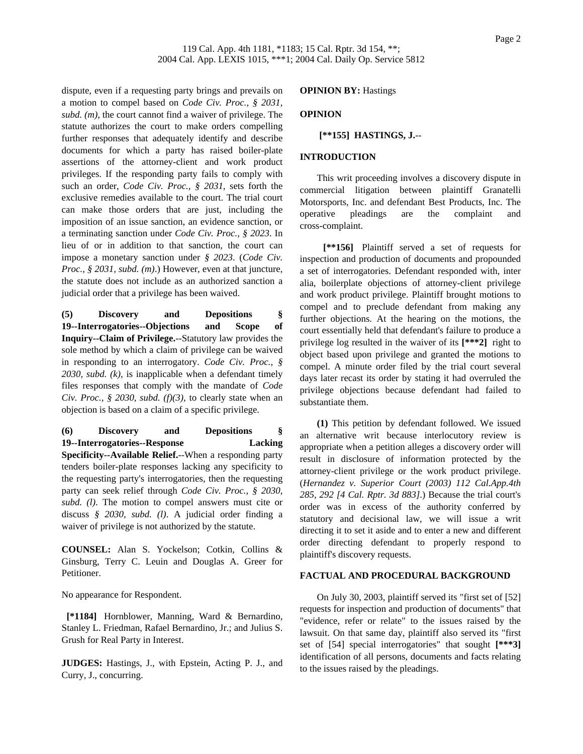dispute, even if a requesting party brings and prevails on a motion to compel based on *Code Civ. Proc., § 2031, subd. (m)*, the court cannot find a waiver of privilege. The statute authorizes the court to make orders compelling further responses that adequately identify and describe documents for which a party has raised boiler-plate assertions of the attorney-client and work product privileges. If the responding party fails to comply with such an order, *Code Civ. Proc., § 2031*, sets forth the exclusive remedies available to the court. The trial court can make those orders that are just, including the imposition of an issue sanction, an evidence sanction, or a terminating sanction under *Code Civ. Proc., § 2023*. In lieu of or in addition to that sanction, the court can impose a monetary sanction under *§ 2023*. (*Code Civ. Proc., § 2031, subd. (m)*.) However, even at that juncture, the statute does not include as an authorized sanction a judicial order that a privilege has been waived.

**(5) Discovery and Depositions § 19--Interrogatories--Objections and Scope of Inquiry--Claim of Privilege.**--Statutory law provides the sole method by which a claim of privilege can be waived in responding to an interrogatory. *Code Civ. Proc., § 2030, subd. (k)*, is inapplicable when a defendant timely files responses that comply with the mandate of *Code Civ. Proc., § 2030, subd. (f)(3),* to clearly state when an objection is based on a claim of a specific privilege.

**(6) Discovery and Depositions § 19--Interrogatories--Response Lacking Specificity--Available Relief.**--When a responding party tenders boiler-plate responses lacking any specificity to the requesting party's interrogatories, then the requesting party can seek relief through *Code Civ. Proc., § 2030, subd. (l)*. The motion to compel answers must cite or discuss *§ 2030, subd. (l)*. A judicial order finding a waiver of privilege is not authorized by the statute.

**COUNSEL:** Alan S. Yockelson; Cotkin, Collins & Ginsburg, Terry C. Leuin and Douglas A. Greer for Petitioner.

No appearance for Respondent.

**[\*1184]** Hornblower, Manning, Ward & Bernardino, Stanley L. Friedman, Rafael Bernardino, Jr.; and Julius S. Grush for Real Party in Interest.

**JUDGES:** Hastings, J., with Epstein, Acting P. J., and Curry, J., concurring.

**OPINION BY:** Hastings

## **OPINION**

**[\*\*155] HASTINGS, J.**--

## **INTRODUCTION**

This writ proceeding involves a discovery dispute in commercial litigation between plaintiff Granatelli Motorsports, Inc. and defendant Best Products, Inc. The operative pleadings are the complaint and cross-complaint.

**[\*\*156]** Plaintiff served a set of requests for inspection and production of documents and propounded a set of interrogatories. Defendant responded with, inter alia, boilerplate objections of attorney-client privilege and work product privilege. Plaintiff brought motions to compel and to preclude defendant from making any further objections. At the hearing on the motions, the court essentially held that defendant's failure to produce a privilege log resulted in the waiver of its **[\*\*\*2]** right to object based upon privilege and granted the motions to compel. A minute order filed by the trial court several days later recast its order by stating it had overruled the privilege objections because defendant had failed to substantiate them.

**(1)** This petition by defendant followed. We issued an alternative writ because interlocutory review is appropriate when a petition alleges a discovery order will result in disclosure of information protected by the attorney-client privilege or the work product privilege. (*Hernandez v. Superior Court (2003) 112 Cal.App.4th 285, 292 [4 Cal. Rptr. 3d 883]*.) Because the trial court's order was in excess of the authority conferred by statutory and decisional law, we will issue a writ directing it to set it aside and to enter a new and different order directing defendant to properly respond to plaintiff's discovery requests.

# **FACTUAL AND PROCEDURAL BACKGROUND**

On July 30, 2003, plaintiff served its "first set of [52] requests for inspection and production of documents" that "evidence, refer or relate" to the issues raised by the lawsuit. On that same day, plaintiff also served its "first set of [54] special interrogatories" that sought **[\*\*\*3]** identification of all persons, documents and facts relating to the issues raised by the pleadings.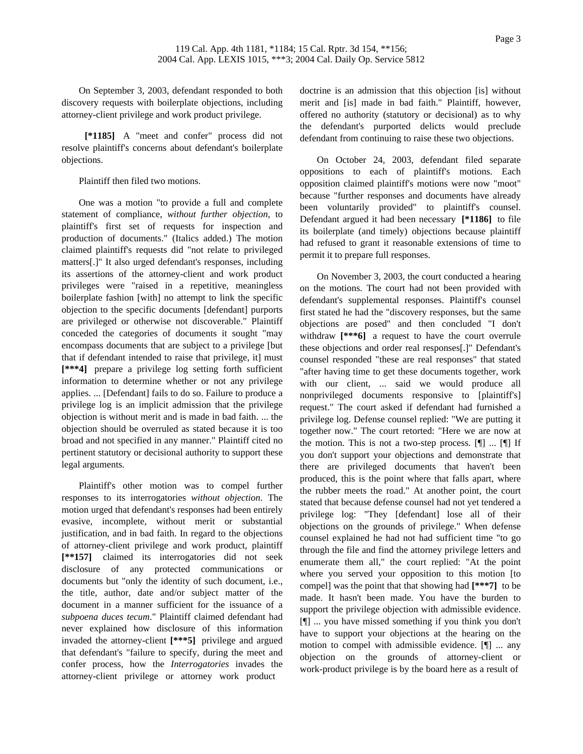On September 3, 2003, defendant responded to both discovery requests with boilerplate objections, including attorney-client privilege and work product privilege.

**[\*1185]** A "meet and confer" process did not resolve plaintiff's concerns about defendant's boilerplate objections.

Plaintiff then filed two motions.

One was a motion "to provide a full and complete statement of compliance, *without further objection*, to plaintiff's first set of requests for inspection and production of documents." (Italics added.) The motion claimed plaintiff's requests did "not relate to privileged matters[.]" It also urged defendant's responses, including its assertions of the attorney-client and work product privileges were "raised in a repetitive, meaningless boilerplate fashion [with] no attempt to link the specific objection to the specific documents [defendant] purports are privileged or otherwise not discoverable." Plaintiff conceded the categories of documents it sought "may encompass documents that are subject to a privilege [but that if defendant intended to raise that privilege, it] must **[\*\*\*4]** prepare a privilege log setting forth sufficient information to determine whether or not any privilege applies. ... [Defendant] fails to do so. Failure to produce a privilege log is an implicit admission that the privilege objection is without merit and is made in bad faith. ... the objection should be overruled as stated because it is too broad and not specified in any manner." Plaintiff cited no pertinent statutory or decisional authority to support these legal arguments.

Plaintiff's other motion was to compel further responses to its interrogatories *without objection*. The motion urged that defendant's responses had been entirely evasive, incomplete, without merit or substantial justification, and in bad faith. In regard to the objections of attorney-client privilege and work product, plaintiff **[\*\*157]** claimed its interrogatories did not seek disclosure of any protected communications or documents but "only the identity of such document, i.e., the title, author, date and/or subject matter of the document in a manner sufficient for the issuance of a *subpoena duces tecum*." Plaintiff claimed defendant had never explained how disclosure of this information invaded the attorney-client **[\*\*\*5]** privilege and argued that defendant's "failure to specify, during the meet and confer process, how the *Interrogatories* invades the attorney-client privilege or attorney work product

doctrine is an admission that this objection [is] without merit and [is] made in bad faith." Plaintiff, however, offered no authority (statutory or decisional) as to why the defendant's purported delicts would preclude defendant from continuing to raise these two objections.

On October 24, 2003, defendant filed separate oppositions to each of plaintiff's motions. Each opposition claimed plaintiff's motions were now "moot" because "further responses and documents have already been voluntarily provided" to plaintiff's counsel. Defendant argued it had been necessary **[\*1186]** to file its boilerplate (and timely) objections because plaintiff had refused to grant it reasonable extensions of time to permit it to prepare full responses.

On November 3, 2003, the court conducted a hearing on the motions. The court had not been provided with defendant's supplemental responses. Plaintiff's counsel first stated he had the "discovery responses, but the same objections are posed" and then concluded "I don't withdraw **[\*\*\*6]** a request to have the court overrule these objections and order real responses[.]" Defendant's counsel responded "these are real responses" that stated "after having time to get these documents together, work with our client, ... said we would produce all nonprivileged documents responsive to [plaintiff's] request." The court asked if defendant had furnished a privilege log. Defense counsel replied: "We are putting it together now." The court retorted: "Here we are now at the motion. This is not a two-step process.  $[\P]$  ...  $[\P]$  If you don't support your objections and demonstrate that there are privileged documents that haven't been produced, this is the point where that falls apart, where the rubber meets the road." At another point, the court stated that because defense counsel had not yet tendered a privilege log: "They [defendant] lose all of their objections on the grounds of privilege." When defense counsel explained he had not had sufficient time "to go through the file and find the attorney privilege letters and enumerate them all," the court replied: "At the point where you served your opposition to this motion [to compel] was the point that that showing had **[\*\*\*7]** to be made. It hasn't been made. You have the burden to support the privilege objection with admissible evidence. [¶] ... you have missed something if you think you don't have to support your objections at the hearing on the motion to compel with admissible evidence. [¶] ... any objection on the grounds of attorney-client or work-product privilege is by the board here as a result of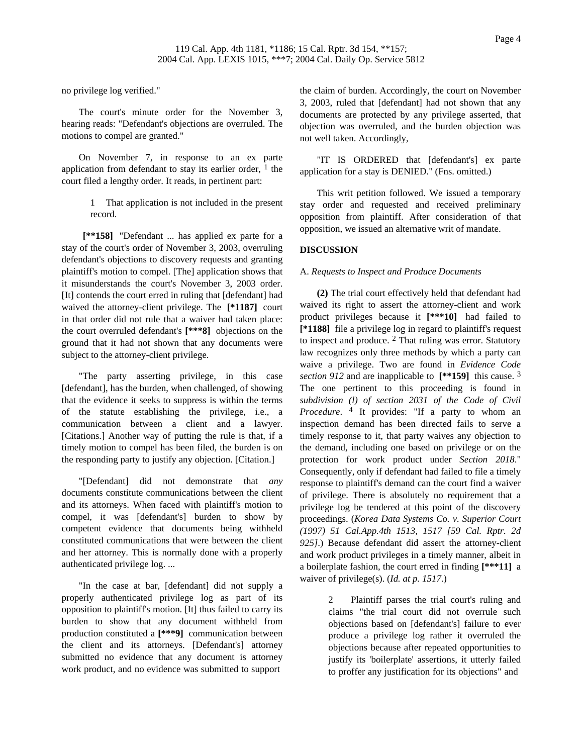no privilege log verified."

The court's minute order for the November 3, hearing reads: "Defendant's objections are overruled. The motions to compel are granted."

On November 7, in response to an ex parte application from defendant to stay its earlier order,  $\frac{1}{1}$  the court filed a lengthy order. It reads, in pertinent part:

> 1 That application is not included in the present record.

**[\*\*158]** "Defendant ... has applied ex parte for a stay of the court's order of November 3, 2003, overruling defendant's objections to discovery requests and granting plaintiff's motion to compel. [The] application shows that it misunderstands the court's November 3, 2003 order. [It] contends the court erred in ruling that [defendant] had waived the attorney-client privilege. The **[\*1187]** court in that order did not rule that a waiver had taken place: the court overruled defendant's **[\*\*\*8]** objections on the ground that it had not shown that any documents were subject to the attorney-client privilege.

"The party asserting privilege, in this case [defendant], has the burden, when challenged, of showing that the evidence it seeks to suppress is within the terms of the statute establishing the privilege, i.e., a communication between a client and a lawyer. [Citations.] Another way of putting the rule is that, if a timely motion to compel has been filed, the burden is on the responding party to justify any objection. [Citation.]

"[Defendant] did not demonstrate that *any* documents constitute communications between the client and its attorneys. When faced with plaintiff's motion to compel, it was [defendant's] burden to show by competent evidence that documents being withheld constituted communications that were between the client and her attorney. This is normally done with a properly authenticated privilege log. ...

"In the case at bar, [defendant] did not supply a properly authenticated privilege log as part of its opposition to plaintiff's motion. [It] thus failed to carry its burden to show that any document withheld from production constituted a **[\*\*\*9]** communication between the client and its attorneys. [Defendant's] attorney submitted no evidence that any document is attorney work product, and no evidence was submitted to support

the claim of burden. Accordingly, the court on November 3, 2003, ruled that [defendant] had not shown that any documents are protected by any privilege asserted, that objection was overruled, and the burden objection was not well taken. Accordingly,

"IT IS ORDERED that [defendant's] ex parte application for a stay is DENIED." (Fns. omitted.)

This writ petition followed. We issued a temporary stay order and requested and received preliminary opposition from plaintiff. After consideration of that opposition, we issued an alternative writ of mandate.

## **DISCUSSION**

## A. *Requests to Inspect and Produce Documents*

**(2)** The trial court effectively held that defendant had waived its right to assert the attorney-client and work product privileges because it **[\*\*\*10]** had failed to **[\*1188]** file a privilege log in regard to plaintiff's request to inspect and produce. 2 That ruling was error. Statutory law recognizes only three methods by which a party can waive a privilege. Two are found in *Evidence Code section 912* and are inapplicable to **[\*\*159]** this cause. 3 The one pertinent to this proceeding is found in *subdivision (l) of section 2031 of the Code of Civil Procedure*. 4 It provides: "If a party to whom an inspection demand has been directed fails to serve a timely response to it, that party waives any objection to the demand, including one based on privilege or on the protection for work product under *Section 2018*." Consequently, only if defendant had failed to file a timely response to plaintiff's demand can the court find a waiver of privilege. There is absolutely no requirement that a privilege log be tendered at this point of the discovery proceedings. (*Korea Data Systems Co. v. Superior Court (1997) 51 Cal.App.4th 1513, 1517 [59 Cal. Rptr. 2d 925]*.) Because defendant did assert the attorney-client and work product privileges in a timely manner, albeit in a boilerplate fashion, the court erred in finding **[\*\*\*11]** a waiver of privilege(s). (*Id. at p. 1517*.)

> 2 Plaintiff parses the trial court's ruling and claims "the trial court did not overrule such objections based on [defendant's] failure to ever produce a privilege log rather it overruled the objections because after repeated opportunities to justify its 'boilerplate' assertions, it utterly failed to proffer any justification for its objections" and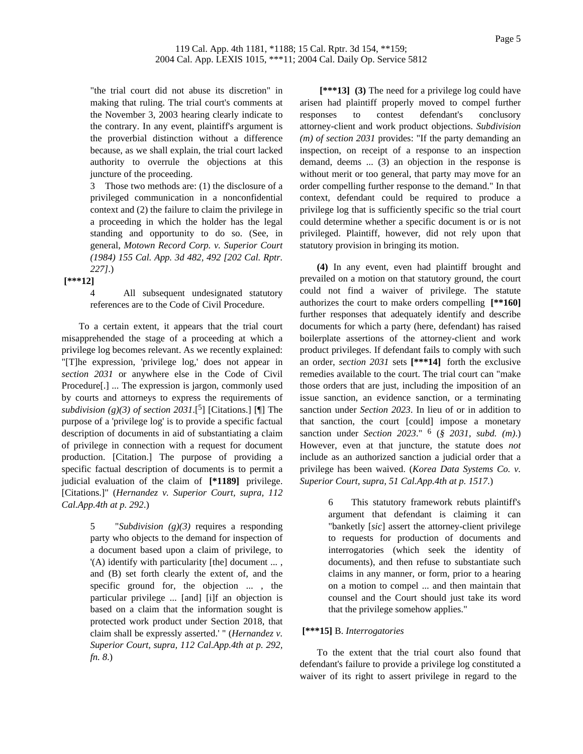"the trial court did not abuse its discretion" in making that ruling. The trial court's comments at the November 3, 2003 hearing clearly indicate to the contrary. In any event, plaintiff's argument is the proverbial distinction without a difference because, as we shall explain, the trial court lacked authority to overrule the objections at this juncture of the proceeding.

3 Those two methods are: (1) the disclosure of a privileged communication in a nonconfidential context and (2) the failure to claim the privilege in a proceeding in which the holder has the legal standing and opportunity to do so. (See, in general, *Motown Record Corp. v. Superior Court (1984) 155 Cal. App. 3d 482, 492 [202 Cal. Rptr. 227]*.)

**[\*\*\*12]**

4 All subsequent undesignated statutory references are to the Code of Civil Procedure.

To a certain extent, it appears that the trial court misapprehended the stage of a proceeding at which a privilege log becomes relevant. As we recently explained: "[T]he expression, 'privilege log,' does not appear in *section 2031* or anywhere else in the Code of Civil Procedure[.] ... The expression is jargon, commonly used by courts and attorneys to express the requirements of *subdivision (g)(3) of section 2031*.[5] [Citations.] [¶] The purpose of a 'privilege log' is to provide a specific factual description of documents in aid of substantiating a claim of privilege in connection with a request for document production. [Citation.] The purpose of providing a specific factual description of documents is to permit a judicial evaluation of the claim of **[\*1189]** privilege. [Citations.]" (*Hernandez v. Superior Court, supra, 112 Cal.App.4th at p. 292*.)

> 5 "*Subdivision (g)(3)* requires a responding party who objects to the demand for inspection of a document based upon a claim of privilege, to '(A) identify with particularity [the] document ... , and (B) set forth clearly the extent of, and the specific ground for, the objection ... , the particular privilege ... [and] [i]f an objection is based on a claim that the information sought is protected work product under Section 2018, that claim shall be expressly asserted.' " (*Hernandez v. Superior Court, supra, 112 Cal.App.4th at p. 292, fn. 8*.)

**[\*\*\*13] (3)** The need for a privilege log could have arisen had plaintiff properly moved to compel further responses to contest defendant's conclusory attorney-client and work product objections. *Subdivision (m) of section 2031* provides: "If the party demanding an inspection, on receipt of a response to an inspection demand, deems ... (3) an objection in the response is without merit or too general, that party may move for an order compelling further response to the demand." In that context, defendant could be required to produce a privilege log that is sufficiently specific so the trial court could determine whether a specific document is or is not privileged. Plaintiff, however, did not rely upon that statutory provision in bringing its motion.

**(4)** In any event, even had plaintiff brought and prevailed on a motion on that statutory ground, the court could not find a waiver of privilege. The statute authorizes the court to make orders compelling **[\*\*160]** further responses that adequately identify and describe documents for which a party (here, defendant) has raised boilerplate assertions of the attorney-client and work product privileges. If defendant fails to comply with such an order, *section 2031* sets **[\*\*\*14]** forth the exclusive remedies available to the court. The trial court can "make those orders that are just, including the imposition of an issue sanction, an evidence sanction, or a terminating sanction under *Section 2023*. In lieu of or in addition to that sanction, the court [could] impose a monetary sanction under *Section 2023*." 6 (*§ 2031, subd. (m)*.) However, even at that juncture, the statute does *not* include as an authorized sanction a judicial order that a privilege has been waived. (*Korea Data Systems Co. v. Superior Court, supra, 51 Cal.App.4th at p. 1517*.)

> 6 This statutory framework rebuts plaintiff's argument that defendant is claiming it can "banketly [*sic*] assert the attorney-client privilege to requests for production of documents and interrogatories (which seek the identity of documents), and then refuse to substantiate such claims in any manner, or form, prior to a hearing on a motion to compel ... and then maintain that counsel and the Court should just take its word that the privilege somehow applies."

# **[\*\*\*15]** B. *Interrogatories*

To the extent that the trial court also found that defendant's failure to provide a privilege log constituted a waiver of its right to assert privilege in regard to the